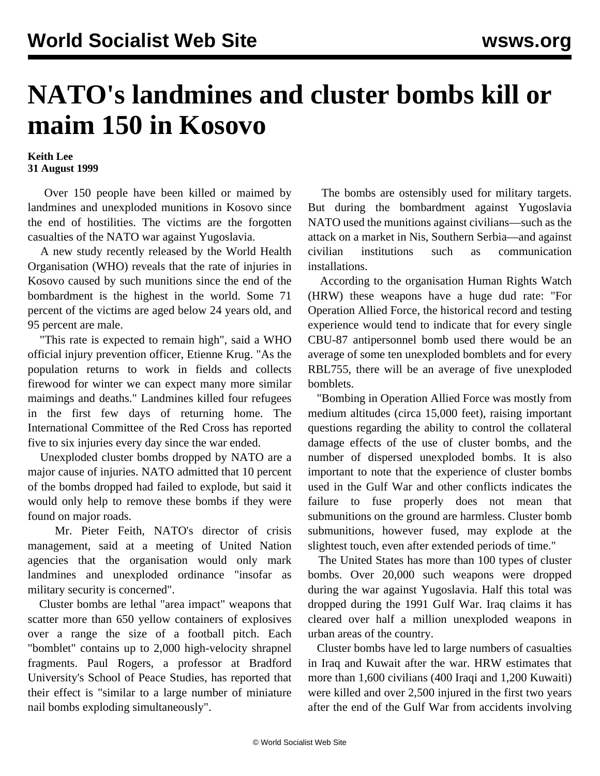## **NATO's landmines and cluster bombs kill or maim 150 in Kosovo**

## **Keith Lee 31 August 1999**

 Over 150 people have been killed or maimed by landmines and unexploded munitions in Kosovo since the end of hostilities. The victims are the forgotten casualties of the NATO war against Yugoslavia.

 A new study recently released by the World Health Organisation (WHO) reveals that the rate of injuries in Kosovo caused by such munitions since the end of the bombardment is the highest in the world. Some 71 percent of the victims are aged below 24 years old, and 95 percent are male.

 "This rate is expected to remain high", said a WHO official injury prevention officer, Etienne Krug. "As the population returns to work in fields and collects firewood for winter we can expect many more similar maimings and deaths." Landmines killed four refugees in the first few days of returning home. The International Committee of the Red Cross has reported five to six injuries every day since the war ended.

 Unexploded cluster bombs dropped by NATO are a major cause of injuries. NATO admitted that 10 percent of the bombs dropped had failed to explode, but said it would only help to remove these bombs if they were found on major roads.

 Mr. Pieter Feith, NATO's director of crisis management, said at a meeting of United Nation agencies that the organisation would only mark landmines and unexploded ordinance "insofar as military security is concerned".

 Cluster bombs are lethal "area impact" weapons that scatter more than 650 yellow containers of explosives over a range the size of a football pitch. Each "bomblet" contains up to 2,000 high-velocity shrapnel fragments. Paul Rogers, a professor at Bradford University's School of Peace Studies, has reported that their effect is "similar to a large number of miniature nail bombs exploding simultaneously".

 The bombs are ostensibly used for military targets. But during the bombardment against Yugoslavia NATO used the munitions against civilians—such as the attack on a market in Nis, Southern Serbia—and against civilian institutions such as communication installations.

 According to the organisation Human Rights Watch (HRW) these weapons have a huge dud rate: "For Operation Allied Force, the historical record and testing experience would tend to indicate that for every single CBU-87 antipersonnel bomb used there would be an average of some ten unexploded bomblets and for every RBL755, there will be an average of five unexploded bomblets.

 "Bombing in Operation Allied Force was mostly from medium altitudes (circa 15,000 feet), raising important questions regarding the ability to control the collateral damage effects of the use of cluster bombs, and the number of dispersed unexploded bombs. It is also important to note that the experience of cluster bombs used in the Gulf War and other conflicts indicates the failure to fuse properly does not mean that submunitions on the ground are harmless. Cluster bomb submunitions, however fused, may explode at the slightest touch, even after extended periods of time."

 The United States has more than 100 types of cluster bombs. Over 20,000 such weapons were dropped during the war against Yugoslavia. Half this total was dropped during the 1991 Gulf War. Iraq claims it has cleared over half a million unexploded weapons in urban areas of the country.

 Cluster bombs have led to large numbers of casualties in Iraq and Kuwait after the war. HRW estimates that more than 1,600 civilians (400 Iraqi and 1,200 Kuwaiti) were killed and over 2,500 injured in the first two years after the end of the Gulf War from accidents involving